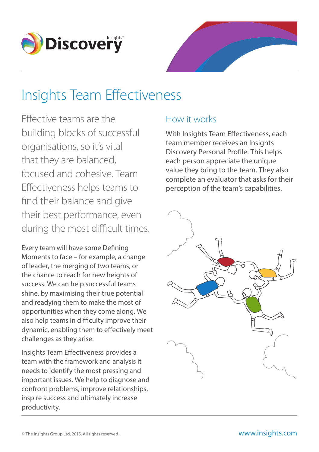

# Insights Team Effectiveness

Effective teams are the building blocks of successful organisations, so it's vital that they are balanced, focused and cohesive. Team Effectiveness helps teams to find their balance and give their best performance, even during the most difficult times.

Every team will have some Defining Moments to face – for example, a change of leader, the merging of two teams, or the chance to reach for new heights of success. We can help successful teams shine, by maximising their true potential and readying them to make the most of opportunities when they come along. We also help teams in difficulty improve their dynamic, enabling them to effectively meet challenges as they arise.

Insights Team Effectiveness provides a team with the framework and analysis it needs to identify the most pressing and important issues. We help to diagnose and confront problems, improve relationships, inspire success and ultimately increase productivity.

### How it works

With Insights Team Effectiveness, each team member receives an Insights Discovery Personal Profile. This helps each person appreciate the unique value they bring to the team. They also complete an evaluator that asks for their perception of the team's capabilities.